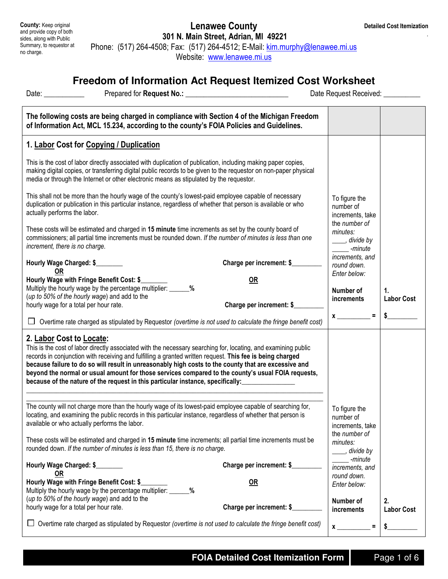.

County: Keep original and provide copy of both sides, along with Public Summary, to requestor at no charge.

## Lenawee County 301 N. Main Street, Adrian, MI 49221 Phone: (517) 264-4508; Fax: (517) 264-4512; E-Mail: kim.murphy@lenawee.mi.us

Website: www.lenawee.mi.us

## **Freedom of Information Act Request Itemized Cost Worksheet**

| Date: $\frac{1}{2}$                                                                                                                                                                                                                                                                                                                                                                                                                                                                                                                                      |                                                                                                                                                                                                                                                                                                                              |                                                | Date Request Received: __________                       |                         |
|----------------------------------------------------------------------------------------------------------------------------------------------------------------------------------------------------------------------------------------------------------------------------------------------------------------------------------------------------------------------------------------------------------------------------------------------------------------------------------------------------------------------------------------------------------|------------------------------------------------------------------------------------------------------------------------------------------------------------------------------------------------------------------------------------------------------------------------------------------------------------------------------|------------------------------------------------|---------------------------------------------------------|-------------------------|
|                                                                                                                                                                                                                                                                                                                                                                                                                                                                                                                                                          | The following costs are being charged in compliance with Section 4 of the Michigan Freedom<br>of Information Act, MCL 15.234, according to the county's FOIA Policies and Guidelines.                                                                                                                                        |                                                |                                                         |                         |
| 1. Labor Cost for Copying / Duplication                                                                                                                                                                                                                                                                                                                                                                                                                                                                                                                  |                                                                                                                                                                                                                                                                                                                              |                                                |                                                         |                         |
|                                                                                                                                                                                                                                                                                                                                                                                                                                                                                                                                                          | This is the cost of labor directly associated with duplication of publication, including making paper copies,<br>making digital copies, or transferring digital public records to be given to the requestor on non-paper physical<br>media or through the Internet or other electronic means as stipulated by the requestor. |                                                |                                                         |                         |
| actually performs the labor.                                                                                                                                                                                                                                                                                                                                                                                                                                                                                                                             | This shall not be more than the hourly wage of the county's lowest-paid employee capable of necessary<br>duplication or publication in this particular instance, regardless of whether that person is available or who                                                                                                       |                                                | To figure the<br>number of<br>increments, take          |                         |
| increment, there is no charge.                                                                                                                                                                                                                                                                                                                                                                                                                                                                                                                           | These costs will be estimated and charged in 15 minute time increments as set by the county board of<br>commissioners; all partial time increments must be rounded down. If the number of minutes is less than one                                                                                                           |                                                | the number of<br>minutes:<br>____, divide by<br>-minute |                         |
| Hourly Wage Charged: \$<br><b>OR</b>                                                                                                                                                                                                                                                                                                                                                                                                                                                                                                                     |                                                                                                                                                                                                                                                                                                                              | Charge per increment: \$                       | increments, and<br>round down.                          |                         |
| Hourly Wage with Fringe Benefit Cost: \$<br>(up to 50% of the hourly wage) and add to the<br>hourly wage for a total per hour rate.                                                                                                                                                                                                                                                                                                                                                                                                                      | Multiply the hourly wage by the percentage multiplier: ______%                                                                                                                                                                                                                                                               | <b>OR</b><br>Charge per increment: \$          | Enter below:<br>Number of<br>increments                 | 1.<br><b>Labor Cost</b> |
|                                                                                                                                                                                                                                                                                                                                                                                                                                                                                                                                                          | $\Box$ Overtime rate charged as stipulated by Requestor (overtime is not used to calculate the fringe benefit cost)                                                                                                                                                                                                          |                                                | $x \overline{\phantom{a}} =$                            |                         |
| 2. Labor Cost to Locate:<br>This is the cost of labor directly associated with the necessary searching for, locating, and examining public<br>records in conjunction with receiving and fulfilling a granted written request. This fee is being charged<br>because failure to do so will result in unreasonably high costs to the county that are excessive and<br>beyond the normal or usual amount for those services compared to the county's usual FOIA requests,<br>because of the nature of the request in this particular instance, specifically: |                                                                                                                                                                                                                                                                                                                              |                                                |                                                         |                         |
| The county will not charge more than the hourly wage of its lowest-paid employee capable of searching for,<br>locating, and examining the public records in this particular instance, regardless of whether that person is<br>available or who actually performs the labor.                                                                                                                                                                                                                                                                              |                                                                                                                                                                                                                                                                                                                              | To figure the<br>number of<br>increments, take |                                                         |                         |
|                                                                                                                                                                                                                                                                                                                                                                                                                                                                                                                                                          | These costs will be estimated and charged in 15 minute time increments; all partial time increments must be<br>rounded down. If the number of minutes is less than 15, there is no charge.                                                                                                                                   |                                                | the number of<br>minutes:<br>_, divide by               |                         |
| Hourly Wage Charged: \$                                                                                                                                                                                                                                                                                                                                                                                                                                                                                                                                  |                                                                                                                                                                                                                                                                                                                              | Charge per increment: \$                       | -minute<br>increments, and                              |                         |
| OR<br>Hourly Wage with Fringe Benefit Cost: \$<br>(up to 50% of the hourly wage) and add to the                                                                                                                                                                                                                                                                                                                                                                                                                                                          | Multiply the hourly wage by the percentage multiplier: ______<br>%                                                                                                                                                                                                                                                           | <b>OR</b>                                      | round down.<br>Enter below:<br>Number of                | 2.                      |
| hourly wage for a total per hour rate.                                                                                                                                                                                                                                                                                                                                                                                                                                                                                                                   |                                                                                                                                                                                                                                                                                                                              | Charge per increment: \$                       | increments                                              | <b>Labor Cost</b>       |
|                                                                                                                                                                                                                                                                                                                                                                                                                                                                                                                                                          | Overtime rate charged as stipulated by Requestor (overtime is not used to calculate the fringe benefit cost)                                                                                                                                                                                                                 |                                                | $\mathbf{x}$<br>Ξ                                       |                         |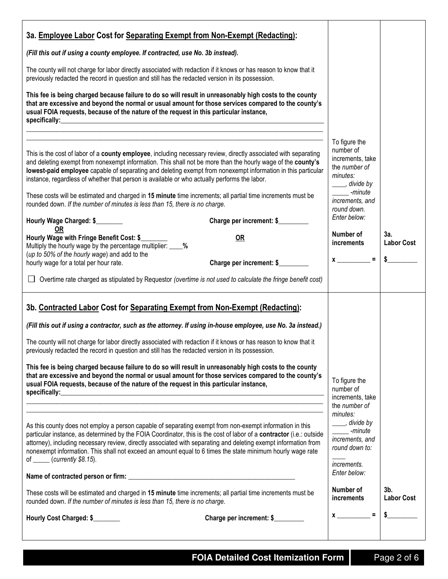| 3a. Employee Labor Cost for Separating Exempt from Non-Exempt (Redacting):                                                                                                                                                                                                                                                                                                                                                                                                                                                                                                                                                                                                                                                         |                                                                                                                                                             |                          |
|------------------------------------------------------------------------------------------------------------------------------------------------------------------------------------------------------------------------------------------------------------------------------------------------------------------------------------------------------------------------------------------------------------------------------------------------------------------------------------------------------------------------------------------------------------------------------------------------------------------------------------------------------------------------------------------------------------------------------------|-------------------------------------------------------------------------------------------------------------------------------------------------------------|--------------------------|
| (Fill this out if using a county employee. If contracted, use No. 3b instead).                                                                                                                                                                                                                                                                                                                                                                                                                                                                                                                                                                                                                                                     |                                                                                                                                                             |                          |
| The county will not charge for labor directly associated with redaction if it knows or has reason to know that it<br>previously redacted the record in question and still has the redacted version in its possession.                                                                                                                                                                                                                                                                                                                                                                                                                                                                                                              |                                                                                                                                                             |                          |
| This fee is being charged because failure to do so will result in unreasonably high costs to the county<br>that are excessive and beyond the normal or usual amount for those services compared to the county's<br>usual FOIA requests, because of the nature of the request in this particular instance,<br>specifically:<br><u> 1980 - Johann Stoff, deutscher Stoffen und der Stoffen und der Stoffen und der Stoffen und der Stoffen und der </u>                                                                                                                                                                                                                                                                              |                                                                                                                                                             |                          |
| This is the cost of labor of a county employee, including necessary review, directly associated with separating<br>and deleting exempt from nonexempt information. This shall not be more than the hourly wage of the county's<br>lowest-paid employee capable of separating and deleting exempt from nonexempt information in this particular<br>instance, regardless of whether that person is available or who actually performs the labor.<br>These costs will be estimated and charged in 15 minute time increments; all partial time increments must be<br>rounded down. If the number of minutes is less than 15, there is no charge.<br>Hourly Wage Charged: \$<br>Charge per increment: \$<br><b>OR</b>                   | To figure the<br>number of<br>increments, take<br>the number of<br>minutes:<br>____, divide by<br>-minute<br>increments, and<br>round down.<br>Enter below: |                          |
| Hourly Wage with Fringe Benefit Cost: \$<br><b>OR</b><br>Multiply the hourly wage by the percentage multiplier: ____%                                                                                                                                                                                                                                                                                                                                                                                                                                                                                                                                                                                                              | Number of<br>increments                                                                                                                                     | 3a.<br><b>Labor Cost</b> |
| (up to 50% of the hourly wage) and add to the<br>Charge per increment: \$<br>hourly wage for a total per hour rate.                                                                                                                                                                                                                                                                                                                                                                                                                                                                                                                                                                                                                | $x \overline{\phantom{a}} =$                                                                                                                                | $\frac{1}{2}$            |
| $\Box$ Overtime rate charged as stipulated by Requestor (overtime is not used to calculate the fringe benefit cost)                                                                                                                                                                                                                                                                                                                                                                                                                                                                                                                                                                                                                |                                                                                                                                                             |                          |
| 3b. Contracted Labor Cost for Separating Exempt from Non-Exempt (Redacting):<br>(Fill this out if using a contractor, such as the attorney. If using in-house employee, use No. 3a instead.)<br>The county will not charge for labor directly associated with redaction if it knows or has reason to know that it<br>previously redacted the record in question and still has the redacted version in its possession.<br>This fee is being charged because failure to do so will result in unreasonably high costs to the county<br>that are excessive and beyond the normal or usual amount for those services compared to the county's<br>usual FOIA requests, because of the nature of the request in this particular instance, | To figure the<br>number of                                                                                                                                  |                          |
|                                                                                                                                                                                                                                                                                                                                                                                                                                                                                                                                                                                                                                                                                                                                    | increments, take<br>the number of<br>minutes:                                                                                                               |                          |
| As this county does not employ a person capable of separating exempt from non-exempt information in this<br>particular instance, as determined by the FOIA Coordinator, this is the cost of labor of a contractor (i.e.: outside<br>attorney), including necessary review, directly associated with separating and deleting exempt information from<br>nonexempt information. This shall not exceed an amount equal to 6 times the state minimum hourly wage rate<br>of $\frac{\ }{\ }$ (currently \$8.15).                                                                                                                                                                                                                        |                                                                                                                                                             |                          |
| These costs will be estimated and charged in 15 minute time increments; all partial time increments must be<br>rounded down. If the number of minutes is less than 15, there is no charge.                                                                                                                                                                                                                                                                                                                                                                                                                                                                                                                                         | Number of<br>increments                                                                                                                                     | 3b.<br><b>Labor Cost</b> |
| Hourly Cost Charged: \$<br>Charge per increment: \$                                                                                                                                                                                                                                                                                                                                                                                                                                                                                                                                                                                                                                                                                | $x \overline{\phantom{a}}$                                                                                                                                  |                          |
|                                                                                                                                                                                                                                                                                                                                                                                                                                                                                                                                                                                                                                                                                                                                    |                                                                                                                                                             |                          |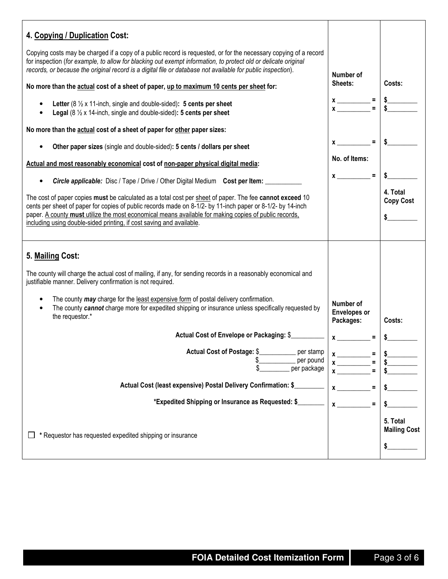| 4. Copying / Duplication Cost:                                                                                                                                                                                                                                                                                                                                                                          |                                  |                                        |
|---------------------------------------------------------------------------------------------------------------------------------------------------------------------------------------------------------------------------------------------------------------------------------------------------------------------------------------------------------------------------------------------------------|----------------------------------|----------------------------------------|
| Copying costs may be charged if a copy of a public record is requested, or for the necessary copying of a record<br>for inspection (for example, to allow for blacking out exempt information, to protect old or delicate original<br>records, or because the original record is a digital file or database not available for public inspection).                                                       |                                  |                                        |
| No more than the actual cost of a sheet of paper, up to maximum 10 cents per sheet for:                                                                                                                                                                                                                                                                                                                 | Number of<br>Sheets:             | Costs:                                 |
| Letter ( $8\frac{1}{2}$ x 11-inch, single and double-sided): 5 cents per sheet<br>٠<br><b>Legal</b> ( $8\frac{1}{2}$ x 14-inch, single and double-sided): 5 cents per sheet                                                                                                                                                                                                                             | $x \x \x = \frac{1}{s}$          |                                        |
| No more than the actual cost of a sheet of paper for other paper sizes:                                                                                                                                                                                                                                                                                                                                 |                                  |                                        |
| Other paper sizes (single and double-sided): 5 cents / dollars per sheet                                                                                                                                                                                                                                                                                                                                | $=$                              |                                        |
| Actual and most reasonably economical cost of non-paper physical digital media:                                                                                                                                                                                                                                                                                                                         | No. of Items:                    |                                        |
| <b>Circle applicable:</b> Disc / Tape / Drive / Other Digital Medium Cost per Item:<br>$\bullet$                                                                                                                                                                                                                                                                                                        | $x =$                            |                                        |
| The cost of paper copies must be calculated as a total cost per sheet of paper. The fee cannot exceed 10<br>cents per sheet of paper for copies of public records made on 8-1/2- by 11-inch paper or 8-1/2- by 14-inch<br>paper. A county must utilize the most economical means available for making copies of public records,<br>including using double-sided printing, if cost saving and available. |                                  | 4. Total<br><b>Copy Cost</b>           |
| 5. Mailing Cost:<br>The county will charge the actual cost of mailing, if any, for sending records in a reasonably economical and                                                                                                                                                                                                                                                                       |                                  |                                        |
| justifiable manner. Delivery confirmation is not required.<br>The county may charge for the least expensive form of postal delivery confirmation.<br>$\bullet$<br>The county cannot charge more for expedited shipping or insurance unless specifically requested by<br>$\bullet$                                                                                                                       |                                  |                                        |
| the requestor.*                                                                                                                                                                                                                                                                                                                                                                                         | <b>Envelopes or</b><br>Packages: | Costs:                                 |
| Actual Cost of Envelope or Packaging: \$                                                                                                                                                                                                                                                                                                                                                                | $\boldsymbol{x}$<br>$\equiv$     |                                        |
| <b>Actual Cost of Postage: \$_</b><br>per stamp<br>per pound<br>per package                                                                                                                                                                                                                                                                                                                             | $x$ <sub>___</sub>               |                                        |
| Actual Cost (least expensive) Postal Delivery Confirmation: \$                                                                                                                                                                                                                                                                                                                                          |                                  |                                        |
| *Expedited Shipping or Insurance as Requested: \$_                                                                                                                                                                                                                                                                                                                                                      |                                  |                                        |
| * Requestor has requested expedited shipping or insurance                                                                                                                                                                                                                                                                                                                                               |                                  | 5. Total<br><b>Mailing Cost</b><br>\$. |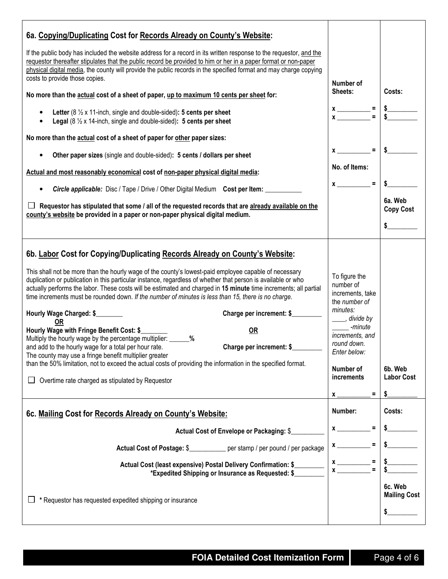| 6a. Copying/Duplicating Cost for Records Already on County's Website:<br>If the public body has included the website address for a record in its written response to the requestor, and the<br>requestor thereafter stipulates that the public record be provided to him or her in a paper format or non-paper<br>physical digital media, the county will provide the public records in the specified format and may charge copying<br>costs to provide those copies.<br>No more than the actual cost of a sheet of paper, up to maximum 10 cents per sheet for:<br>Letter ( $8\frac{1}{2}$ x 11-inch, single and double-sided): 5 cents per sheet<br><b>Legal</b> (8 $\frac{1}{2}$ x 14-inch, single and double-sided): 5 cents per sheet                                                                                                                                                                                                                                                                                                    | Number of<br>Sheets:<br>$x \overline{ )} =$                                                                                                                                            | Costs:                                   |
|-----------------------------------------------------------------------------------------------------------------------------------------------------------------------------------------------------------------------------------------------------------------------------------------------------------------------------------------------------------------------------------------------------------------------------------------------------------------------------------------------------------------------------------------------------------------------------------------------------------------------------------------------------------------------------------------------------------------------------------------------------------------------------------------------------------------------------------------------------------------------------------------------------------------------------------------------------------------------------------------------------------------------------------------------|----------------------------------------------------------------------------------------------------------------------------------------------------------------------------------------|------------------------------------------|
| No more than the actual cost of a sheet of paper for other paper sizes:<br>Other paper sizes (single and double-sided): 5 cents / dollars per sheet<br>Actual and most reasonably economical cost of non-paper physical digital media:<br><b>Circle applicable:</b> Disc / Tape / Drive / Other Digital Medium Cost per Item:<br>$\bullet$<br>Requestor has stipulated that some / all of the requested records that are already available on the<br>county's website be provided in a paper or non-paper physical digital medium.                                                                                                                                                                                                                                                                                                                                                                                                                                                                                                            | $x$ <sub>——</sub><br>$\equiv$<br>No. of Items:<br>$x \sim$ =                                                                                                                           | 6a. Web<br><b>Copy Cost</b>              |
| 6b. Labor Cost for Copying/Duplicating Records Already on County's Website:<br>This shall not be more than the hourly wage of the county's lowest-paid employee capable of necessary<br>duplication or publication in this particular instance, regardless of whether that person is available or who<br>actually performs the labor. These costs will be estimated and charged in 15 minute time increments; all partial<br>time increments must be rounded down. If the number of minutes is less than 15, there is no charge.<br>Hourly Wage Charged: \$<br>Charge per increment: \$<br>0R<br>Hourly Wage with Fringe Benefit Cost: \$<br><b>OR</b><br>Multiply the hourly wage by the percentage multiplier: _______%<br>and add to the hourly wage for a total per hour rate.<br>Charge per increment: \$<br>The county may use a fringe benefit multiplier greater<br>than the 50% limitation, not to exceed the actual costs of providing the information in the specified format.<br>Overtime rate charged as stipulated by Requestor | To figure the<br>number of<br>increments, take<br>the number of<br>minutes:<br>____, divide by<br>-minute<br>increments, and<br>round down.<br>Enter below:<br>Number of<br>increments | 6b. Web<br><b>Labor Cost</b>             |
| 6c. Mailing Cost for Records Already on County's Website:<br>Actual Cost of Envelope or Packaging: \$<br>Actual Cost of Postage: \$___________ per stamp / per pound / per package<br>Actual Cost (least expensive) Postal Delivery Confirmation: \$<br>*Expedited Shipping or Insurance as Requested: \$<br>* Requestor has requested expedited shipping or insurance                                                                                                                                                                                                                                                                                                                                                                                                                                                                                                                                                                                                                                                                        | Ξ<br><b>X</b><br>Number:<br><b>X</b><br>$x \overline{) x}$<br>l.                                                                                                                       | Costs:<br>6c. Web<br><b>Mailing Cost</b> |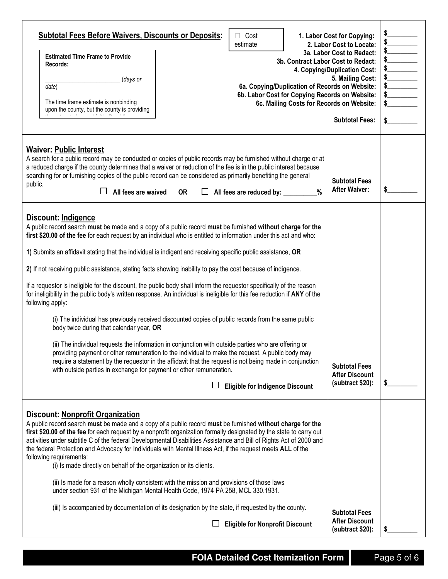| <b>Subtotal Fees Before Waivers, Discounts or Deposits:</b><br>Cost<br>estimate<br><b>Estimated Time Frame to Provide</b><br>3b. Contract Labor Cost to Redact:<br>Records:<br>(days or<br>6a. Copying/Duplication of Records on Website:<br>date)<br>6b. Labor Cost for Copying Records on Website:<br>The time frame estimate is nonbinding<br>6c. Mailing Costs for Records on Website:<br>upon the county, but the county is providing                                                                                                                                                                                                                                                                                                                                                                                                                                                                                                                                                                                                                                                                                                                                                                                                                                                                                                                        | 1. Labor Cost for Copying:<br>2. Labor Cost to Locate:<br>3a. Labor Cost to Redact:<br>4. Copying/Duplication Cost:<br>5. Mailing Cost:<br><b>Subtotal Fees:</b> | $\begin{array}{c c}\n\text{S}\n\hline\n\text{S}\n\hline\n\text{S}\n\hline\n\text{S}\n\hline\n\text{S}\n\hline\n\text{S}\n\hline\n\text{S}\n\hline\n\text{S}\n\hline\n\text{S}\n\hline\n\text{S}\n\hline\n\text{S}\n\hline\n\text{S}\n\hline\n\text{S}\n\hline\n\text{S}\n\hline\n\text{S}\n\hline\n\text{S}\n\hline\n\text{S}\n\hline\n\text{S}\n\hline\n\text{S}\n\hline\n\text{S}\n\hline\n\text{S}\n\hline\n$<br>$\frac{1}{2}$<br>$\frac{1}{2}$<br>$\begin{array}{c}\n\text{S}\n\end{array}$<br>s |
|-------------------------------------------------------------------------------------------------------------------------------------------------------------------------------------------------------------------------------------------------------------------------------------------------------------------------------------------------------------------------------------------------------------------------------------------------------------------------------------------------------------------------------------------------------------------------------------------------------------------------------------------------------------------------------------------------------------------------------------------------------------------------------------------------------------------------------------------------------------------------------------------------------------------------------------------------------------------------------------------------------------------------------------------------------------------------------------------------------------------------------------------------------------------------------------------------------------------------------------------------------------------------------------------------------------------------------------------------------------------|------------------------------------------------------------------------------------------------------------------------------------------------------------------|------------------------------------------------------------------------------------------------------------------------------------------------------------------------------------------------------------------------------------------------------------------------------------------------------------------------------------------------------------------------------------------------------------------------------------------------------------------------------------------------------|
| <b>Waiver: Public Interest</b><br>A search for a public record may be conducted or copies of public records may be furnished without charge or at<br>a reduced charge if the county determines that a waiver or reduction of the fee is in the public interest because<br>searching for or furnishing copies of the public record can be considered as primarily benefiting the general<br>public.<br>All fees are waived<br><b>OR</b><br>$\Box$ All fees are reduced by: $\Box$<br>$\%$                                                                                                                                                                                                                                                                                                                                                                                                                                                                                                                                                                                                                                                                                                                                                                                                                                                                          | <b>Subtotal Fees</b><br><b>After Waiver:</b>                                                                                                                     | \$                                                                                                                                                                                                                                                                                                                                                                                                                                                                                                   |
| <b>Discount: Indigence</b><br>A public record search must be made and a copy of a public record must be furnished without charge for the<br>first \$20.00 of the fee for each request by an individual who is entitled to information under this act and who:<br>1) Submits an affidavit stating that the individual is indigent and receiving specific public assistance, OR<br>2) If not receiving public assistance, stating facts showing inability to pay the cost because of indigence.<br>If a requestor is ineligible for the discount, the public body shall inform the requestor specifically of the reason<br>for ineligibility in the public body's written response. An individual is ineligible for this fee reduction if ANY of the<br>following apply:<br>(i) The individual has previously received discounted copies of public records from the same public<br>body twice during that calendar year, OR<br>(ii) The individual requests the information in conjunction with outside parties who are offering or<br>providing payment or other remuneration to the individual to make the request. A public body may<br>require a statement by the requestor in the affidavit that the request is not being made in conjunction<br>with outside parties in exchange for payment or other remuneration.<br><b>Eligible for Indigence Discount</b> | <b>Subtotal Fees</b><br><b>After Discount</b><br>(subtract \$20):                                                                                                | \$                                                                                                                                                                                                                                                                                                                                                                                                                                                                                                   |
| <b>Discount: Nonprofit Organization</b><br>A public record search must be made and a copy of a public record must be furnished without charge for the<br>first \$20.00 of the fee for each request by a nonprofit organization formally designated by the state to carry out<br>activities under subtitle C of the federal Developmental Disabilities Assistance and Bill of Rights Act of 2000 and<br>the federal Protection and Advocacy for Individuals with Mental Illness Act, if the request meets ALL of the<br>following requirements:<br>(i) Is made directly on behalf of the organization or its clients.<br>(ii) Is made for a reason wholly consistent with the mission and provisions of those laws<br>under section 931 of the Michigan Mental Health Code, 1974 PA 258, MCL 330.1931.<br>(iii) Is accompanied by documentation of its designation by the state, if requested by the county.<br><b>Eligible for Nonprofit Discount</b>                                                                                                                                                                                                                                                                                                                                                                                                             | <b>Subtotal Fees</b><br><b>After Discount</b><br>(subtract \$20):                                                                                                | \$                                                                                                                                                                                                                                                                                                                                                                                                                                                                                                   |